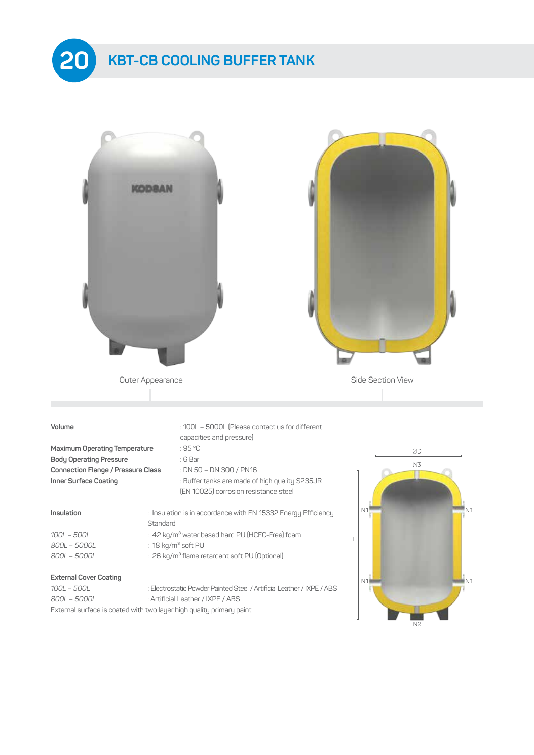



N2

*800L – 5000L* : Artificial Leather / IXPE / ABS External surface is coated with two layer high quality primary paint